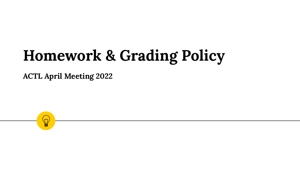# **Homework & Grading Policy**

**ACTL April Meeting 2022**

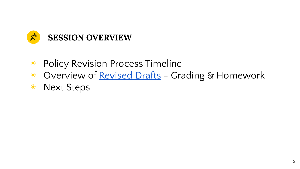

- Policy Revision Process Timeline
- ◉ Overview of [Revised Drafts](https://drive.google.com/drive/folders/1lGzsD_mkVzKT11axpQmsLUHlDBt2uMOR?usp=sharing)  Grading & Homework
- ◉ Next Steps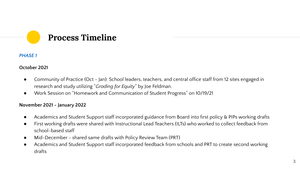# **Process Timeline**

#### *PHASE 1*

#### **October 2021**

- Community of Practice (Oct Jan): School leaders, teachers, and central office staff from 12 sites engaged in research and study utilizing "*Grading for Equity*" by Joe Feldman.
- Work Session on "Homework and Communication of Student Progress" on 10/19/21

#### **November 2021 - January 2022**

- Academics and Student Support staff incorporated guidance from Board into first policy & PIPs working drafts
- First working drafts were shared with Instructional Lead Teachers (ILTs) who worked to collect feedback from school-based staff
- Mid-December shared same drafts with Policy Review Team (PRT)
- Academics and Student Support staff incorporated feedback from schools and PRT to create second working drafts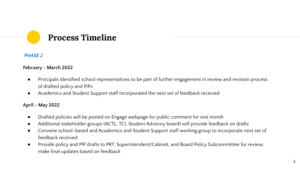

#### *PHASE 2*

#### **February - March 2022**

- Principals identified school representatives to be part of further engagement in review and revision process of drafted policy and PIPs
- Academics and Student Support staff incorporated the next set of feedback received

#### **April - May 2022**

- Drafted policies will be posted on Engage webpage for public comment for one month
- Additional stakeholder groups (ACTL, TCI, Student Advisory board) will provide feedback on drafts
- Convene school-based and Academics and Student Support staff working group to incorporate next set of feedback received
- Provide policy and PIP drafts to PRT, Superintendent/Cabinet, and Board Policy Subcommittee for review; make final updates based on feedback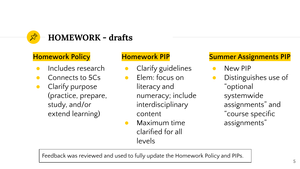

## **Homework Policy**

- Includes research
- Connects to 5Cs
- Clarify purpose (practice, prepare, study, and/or extend learning)

## **Homework PIP**

- **•** Clarify guidelines
- Elem: focus on literacy and numeracy; include interdisciplinary content
- Maximum time clarified for all levels

# **Summer Assignments PIP**

- New PIP
- Distinguishes use of "optional systemwide assignments" and "course specific assignments"

Feedback was reviewed and used to fully update the Homework Policy and PIPs.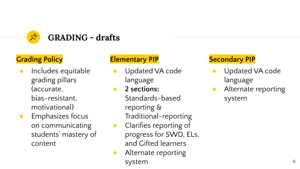

# **Grading Policy**

- Includes equitable grading pillars (accurate, bias-resistant, motivational)
- **Emphasizes focus** on communicating students' mastery of content

# **Elementary PIP**

- Updated VA code language
- **2 sections:**  Standards-based reporting & Traditional-reporting
- Clarifies reporting of progress for SWD, ELs, and Gifted learners
- Alternate reporting system

# **Secondary PIP**

- Updated VA code language
- Alternate reporting system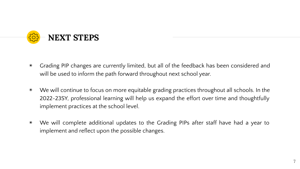

- ◉ Grading PIP changes are currently limited, but all of the feedback has been considered and will be used to inform the path forward throughout next school year.
- ◉ We will continue to focus on more equitable grading practices throughout all schools. In the 2022-23SY, professional learning will help us expand the effort over time and thoughtfully implement practices at the school level.
- ◉ We will complete additional updates to the Grading PIPs after staff have had a year to implement and reflect upon the possible changes.